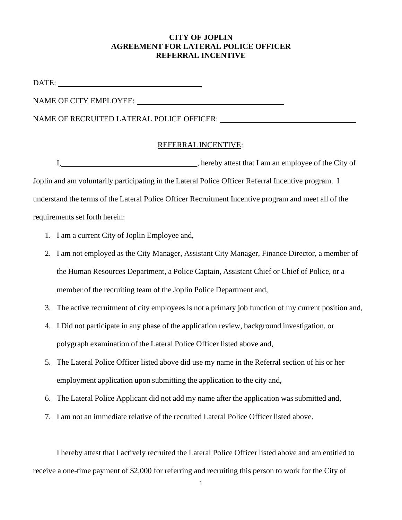## **CITY OF JOPLIN AGREEMENT FOR LATERAL POLICE OFFICER REFERRAL INCENTIVE**

DATE:

NAME OF CITY EMPLOYEE:

NAME OF RECRUITED LATERAL POLICE OFFICER:

## REFERRALINCENTIVE:

I, hereby attest that I am an employee of the City of Joplin and am voluntarily participating in the Lateral Police Officer Referral Incentive program. I

understand the terms of the Lateral Police Officer Recruitment Incentive program and meet all of the requirements set forth herein:

- 1. I am a current City of Joplin Employee and,
- 2. I am not employed as the City Manager, Assistant City Manager, Finance Director, a member of the Human Resources Department, a Police Captain, Assistant Chief or Chief of Police, or a member of the recruiting team of the Joplin Police Department and,
- 3. The active recruitment of city employees is not a primary job function of my current position and,
- 4. I Did not participate in any phase of the application review, background investigation, or polygraph examination of the Lateral Police Officer listed above and,
- 5. The Lateral Police Officer listed above did use my name in the Referral section of his or her employment application upon submitting the application to the city and,
- 6. The Lateral Police Applicant did not add my name after the application was submitted and,
- 7. I am not an immediate relative of the recruited Lateral Police Officer listed above.

I hereby attest that I actively recruited the Lateral Police Officer listed above and am entitled to receive a one-time payment of \$2,000 for referring and recruiting this person to work for the City of